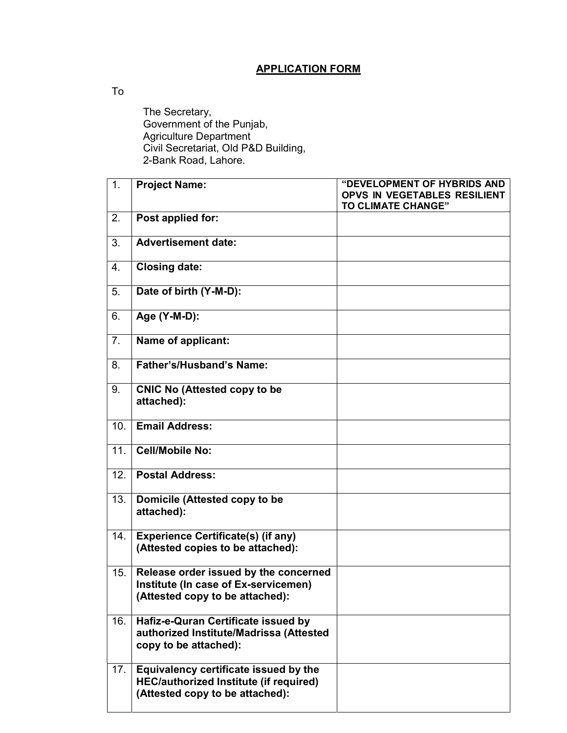## APPLICATION FORM

To

 The Secretary, Government of the Punjab, Agriculture Department Civil Secretariat, Old P&D Building, 2-Bank Road, Lahore.

| 1.               | <b>Project Name:</b>                                                                                                      | "DEVELOPMENT OF HYBRIDS AND<br>OPVS IN VEGETABLES RESILIENT<br><b>TO CLIMATE CHANGE"</b> |
|------------------|---------------------------------------------------------------------------------------------------------------------------|------------------------------------------------------------------------------------------|
| 2.               | Post applied for:                                                                                                         |                                                                                          |
| 3.               | <b>Advertisement date:</b>                                                                                                |                                                                                          |
| $\overline{4}$ . | <b>Closing date:</b>                                                                                                      |                                                                                          |
| 5.               | Date of birth (Y-M-D):                                                                                                    |                                                                                          |
| 6.               | Age (Y-M-D):                                                                                                              |                                                                                          |
| 7 <sub>1</sub>   | Name of applicant:                                                                                                        |                                                                                          |
| 8.               | <b>Father's/Husband's Name:</b>                                                                                           |                                                                                          |
| 9.               | <b>CNIC No (Attested copy to be</b><br>attached):                                                                         |                                                                                          |
| 10.              | <b>Email Address:</b>                                                                                                     |                                                                                          |
| 11.              | <b>Cell/Mobile No:</b>                                                                                                    |                                                                                          |
| 12.              | <b>Postal Address:</b>                                                                                                    |                                                                                          |
| 13.              | Domicile (Attested copy to be<br>attached):                                                                               |                                                                                          |
| 14.              | <b>Experience Certificate(s) (if any)</b><br>(Attested copies to be attached):                                            |                                                                                          |
| 15.              | Release order issued by the concerned<br>Institute (In case of Ex-servicemen)<br>(Attested copy to be attached):          |                                                                                          |
| 16.              | Hafiz-e-Quran Certificate issued by<br>authorized Institute/Madrissa (Attested<br>copy to be attached):                   |                                                                                          |
| 17.              | Equivalency certificate issued by the<br><b>HEC/authorized Institute (if required)</b><br>(Attested copy to be attached): |                                                                                          |